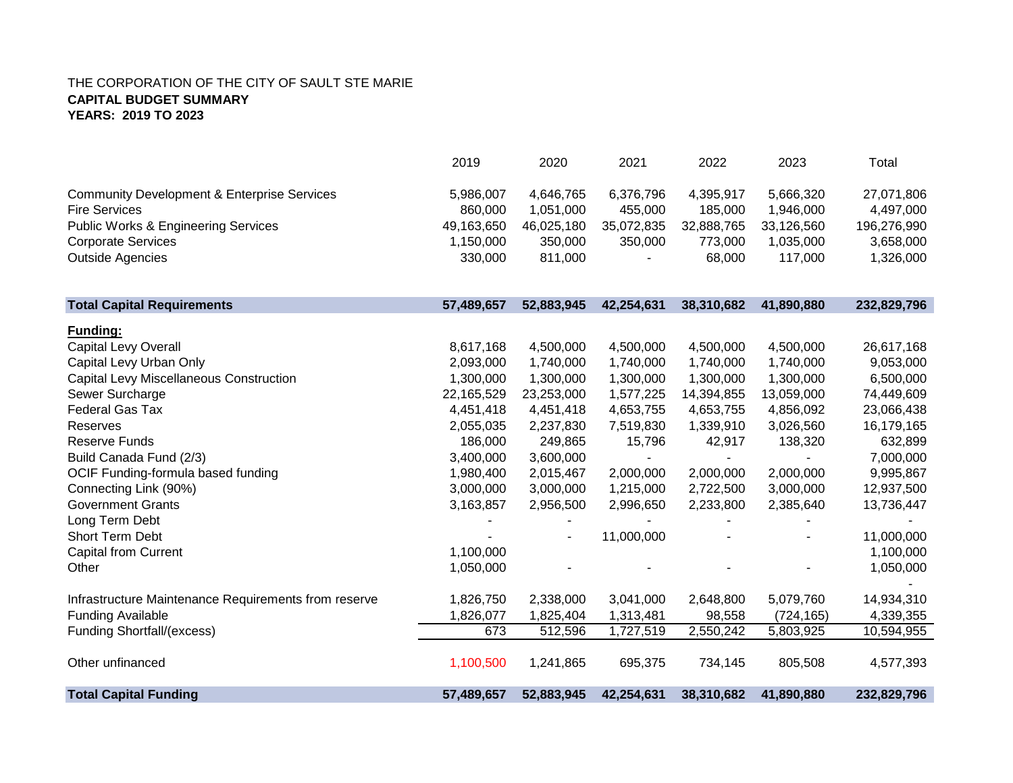|                                                        | 2019       | 2020                     | 2021       | 2022       | 2023       | Total       |
|--------------------------------------------------------|------------|--------------------------|------------|------------|------------|-------------|
| <b>Community Development &amp; Enterprise Services</b> | 5,986,007  | 4,646,765                | 6,376,796  | 4,395,917  | 5,666,320  | 27,071,806  |
| <b>Fire Services</b>                                   | 860,000    | 1,051,000                | 455,000    | 185,000    | 1,946,000  | 4,497,000   |
| <b>Public Works &amp; Engineering Services</b>         | 49,163,650 | 46,025,180               | 35,072,835 | 32,888,765 | 33,126,560 | 196,276,990 |
| <b>Corporate Services</b>                              | 1,150,000  | 350,000                  | 350,000    | 773,000    | 1,035,000  | 3,658,000   |
| <b>Outside Agencies</b>                                | 330,000    | 811,000                  |            | 68,000     | 117,000    | 1,326,000   |
| <b>Total Capital Requirements</b>                      | 57,489,657 | 52,883,945               | 42,254,631 | 38,310,682 | 41,890,880 | 232,829,796 |
| Funding:                                               |            |                          |            |            |            |             |
| Capital Levy Overall                                   | 8,617,168  | 4,500,000                | 4,500,000  | 4,500,000  | 4,500,000  | 26,617,168  |
| Capital Levy Urban Only                                | 2,093,000  | 1,740,000                | 1,740,000  | 1,740,000  | 1,740,000  | 9,053,000   |
| <b>Capital Levy Miscellaneous Construction</b>         | 1,300,000  | 1,300,000                | 1,300,000  | 1,300,000  | 1,300,000  | 6,500,000   |
| Sewer Surcharge                                        | 22,165,529 | 23,253,000               | 1,577,225  | 14,394,855 | 13,059,000 | 74,449,609  |
| <b>Federal Gas Tax</b>                                 | 4,451,418  | 4,451,418                | 4,653,755  | 4,653,755  | 4,856,092  | 23,066,438  |
| Reserves                                               | 2,055,035  | 2,237,830                | 7,519,830  | 1,339,910  | 3,026,560  | 16,179,165  |
| <b>Reserve Funds</b>                                   | 186,000    | 249,865                  | 15,796     | 42,917     | 138,320    | 632,899     |
| Build Canada Fund (2/3)                                | 3,400,000  | 3,600,000                |            |            |            | 7,000,000   |
| OCIF Funding-formula based funding                     | 1,980,400  | 2,015,467                | 2,000,000  | 2,000,000  | 2,000,000  | 9,995,867   |
| Connecting Link (90%)                                  | 3,000,000  | 3,000,000                | 1,215,000  | 2,722,500  | 3,000,000  | 12,937,500  |
| <b>Government Grants</b>                               | 3,163,857  | 2,956,500                | 2,996,650  | 2,233,800  | 2,385,640  | 13,736,447  |
| Long Term Debt                                         |            |                          |            |            |            |             |
| <b>Short Term Debt</b>                                 |            | $\overline{\phantom{a}}$ | 11,000,000 |            |            | 11,000,000  |
| <b>Capital from Current</b>                            | 1,100,000  |                          |            |            |            | 1,100,000   |
| Other                                                  | 1,050,000  |                          |            |            |            | 1,050,000   |
| Infrastructure Maintenance Requirements from reserve   | 1,826,750  | 2,338,000                | 3,041,000  | 2,648,800  | 5,079,760  | 14,934,310  |
| <b>Funding Available</b>                               | 1,826,077  | 1,825,404                | 1,313,481  | 98,558     | (724, 165) | 4,339,355   |
| <b>Funding Shortfall/(excess)</b>                      | 673        | 512,596                  | 1,727,519  | 2,550,242  | 5,803,925  | 10,594,955  |
| Other unfinanced                                       | 1,100,500  | 1,241,865                | 695,375    | 734,145    | 805,508    | 4,577,393   |
| <b>Total Capital Funding</b>                           | 57,489,657 | 52,883,945               | 42,254,631 | 38,310,682 | 41,890,880 | 232,829,796 |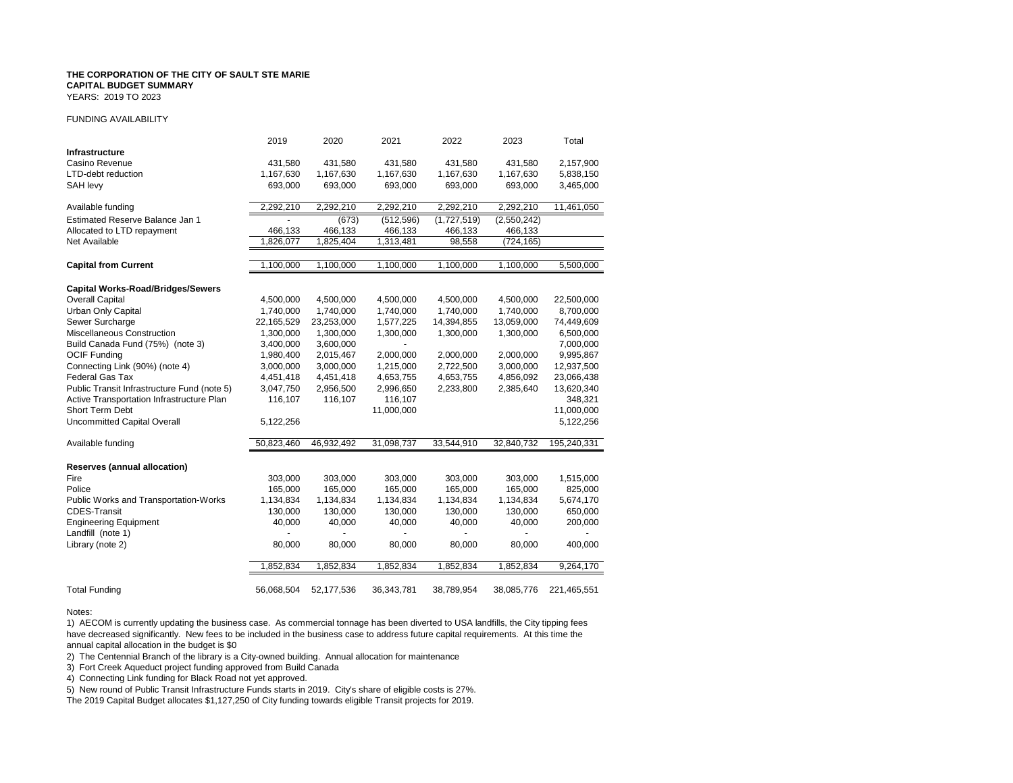YEARS: 2019 TO 2023

### FUNDING AVAILABILITY

|                                             | 2019       | 2020       | 2021       | 2022        | 2023        | Total       |
|---------------------------------------------|------------|------------|------------|-------------|-------------|-------------|
| <b>Infrastructure</b>                       |            |            |            |             |             |             |
| Casino Revenue                              | 431,580    | 431,580    | 431,580    | 431,580     | 431,580     | 2,157,900   |
| <b>LTD-debt reduction</b>                   | 1,167,630  | 1,167,630  | 1,167,630  | 1,167,630   | 1,167,630   | 5,838,150   |
| SAH levy                                    | 693,000    | 693,000    | 693,000    | 693,000     | 693,000     | 3,465,000   |
| Available funding                           | 2,292,210  | 2,292,210  | 2,292,210  | 2,292,210   | 2,292,210   | 11,461,050  |
| Estimated Reserve Balance Jan 1             |            | (673)      | (512, 596) | (1,727,519) | (2,550,242) |             |
| Allocated to LTD repayment                  | 466,133    | 466,133    | 466,133    | 466,133     | 466,133     |             |
| Net Available                               | 1,826,077  | 1,825,404  | 1,313,481  | 98,558      | (724, 165)  |             |
| <b>Capital from Current</b>                 | 1,100,000  | 1,100,000  | 1,100,000  | 1,100,000   | 1,100,000   | 5,500,000   |
| <b>Capital Works-Road/Bridges/Sewers</b>    |            |            |            |             |             |             |
| <b>Overall Capital</b>                      | 4,500,000  | 4,500,000  | 4,500,000  | 4,500,000   | 4,500,000   | 22,500,000  |
| Urban Only Capital                          | 1,740,000  | 1,740,000  | 1,740,000  | 1,740,000   | 1,740,000   | 8,700,000   |
| Sewer Surcharge                             | 22,165,529 | 23,253,000 | 1,577,225  | 14,394,855  | 13,059,000  | 74,449,609  |
| Miscellaneous Construction                  | 1,300,000  | 1,300,000  | 1,300,000  | 1,300,000   | 1,300,000   | 6,500,000   |
| Build Canada Fund (75%) (note 3)            | 3,400,000  | 3,600,000  |            |             |             | 7,000,000   |
| <b>OCIF Funding</b>                         | 1,980,400  | 2,015,467  | 2,000,000  | 2,000,000   | 2,000,000   | 9,995,867   |
| Connecting Link (90%) (note 4)              | 3,000,000  | 3,000,000  | 1,215,000  | 2,722,500   | 3,000,000   | 12,937,500  |
| Federal Gas Tax                             | 4,451,418  | 4,451,418  | 4,653,755  | 4,653,755   | 4,856,092   | 23,066,438  |
| Public Transit Infrastructure Fund (note 5) | 3,047,750  | 2,956,500  | 2,996,650  | 2,233,800   | 2,385,640   | 13,620,340  |
| Active Transportation Infrastructure Plan   | 116,107    | 116,107    | 116,107    |             |             | 348,321     |
| Short Term Debt                             |            |            | 11,000,000 |             |             | 11,000,000  |
| Uncommitted Capital Overall                 | 5,122,256  |            |            |             |             | 5,122,256   |
| Available funding                           | 50,823,460 | 46,932,492 | 31,098,737 | 33,544,910  | 32,840,732  | 195,240,331 |
| <b>Reserves (annual allocation)</b>         |            |            |            |             |             |             |
| Fire                                        | 303,000    | 303,000    | 303,000    | 303,000     | 303,000     | 1,515,000   |
| Police                                      | 165,000    | 165,000    | 165,000    | 165,000     | 165,000     | 825,000     |
| Public Works and Transportation-Works       | 1,134,834  | 1,134,834  | 1,134,834  | 1,134,834   | 1,134,834   | 5,674,170   |
| <b>CDES-Transit</b>                         | 130,000    | 130,000    | 130,000    | 130,000     | 130,000     | 650,000     |
| <b>Engineering Equipment</b>                | 40,000     | 40,000     | 40,000     | 40,000      | 40,000      | 200,000     |
| Landfill (note 1)                           |            |            |            |             |             |             |
| Library (note 2)                            | 80,000     | 80,000     | 80,000     | 80,000      | 80,000      | 400,000     |
|                                             | 1,852,834  | 1,852,834  | 1,852,834  | 1,852,834   | 1,852,834   | 9,264,170   |
|                                             |            |            |            |             |             |             |
| <b>Total Funding</b>                        | 56,068,504 | 52,177,536 | 36,343,781 | 38,789,954  | 38,085,776  | 221,465,551 |

#### Notes:

1) AECOM is currently updating the business case. As commercial tonnage has been diverted to USA landfills, the City tipping fees have decreased significantly. New fees to be included in the business case to address future capital requirements. At this time the annual capital allocation in the budget is \$0

2) The Centennial Branch of the library is a City-owned building. Annual allocation for maintenance

3) Fort Creek Aqueduct project funding approved from Build Canada

4) Connecting Link funding for Black Road not yet approved.

5) New round of Public Transit Infrastructure Funds starts in 2019. City's share of eligible costs is 27%.

The 2019 Capital Budget allocates \$1,127,250 of City funding towards eligible Transit projects for 2019.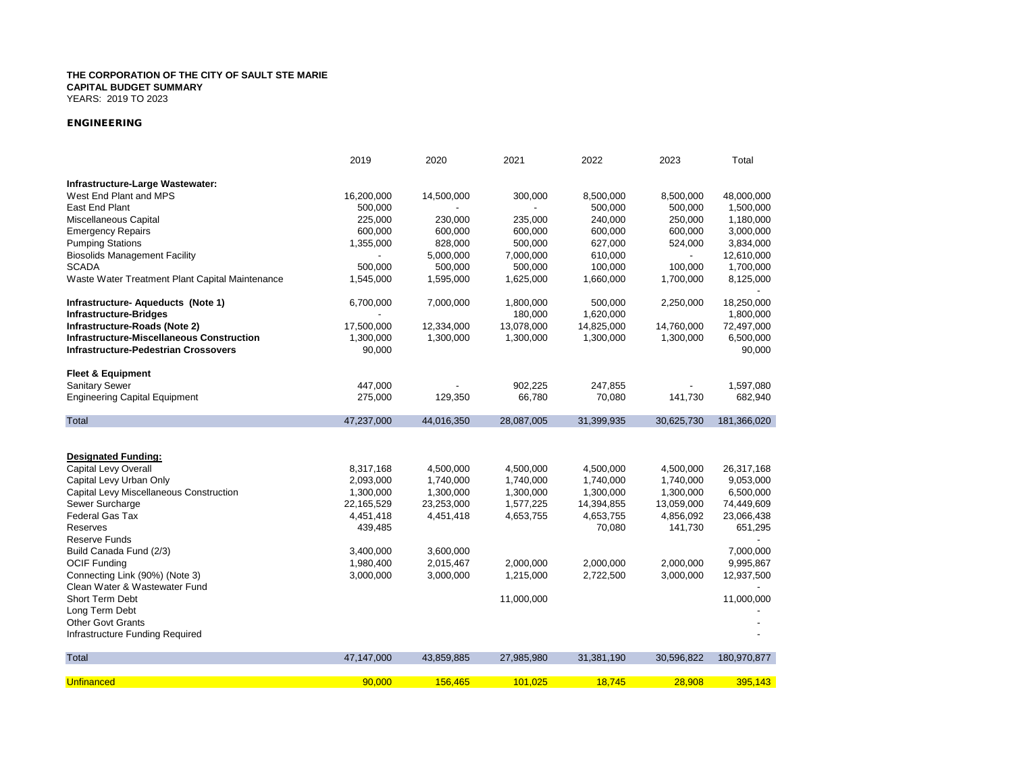YEARS: 2019 TO 2023

### *ENGINEERING*

|                                                  | 2019       | 2020       | 2021       | 2022       | 2023       | Total       |
|--------------------------------------------------|------------|------------|------------|------------|------------|-------------|
| Infrastructure-Large Wastewater:                 |            |            |            |            |            |             |
| West End Plant and MPS                           | 16,200,000 | 14,500,000 | 300,000    | 8,500,000  | 8,500,000  | 48,000,000  |
| East End Plant                                   | 500,000    |            |            | 500,000    | 500,000    | 1,500,000   |
| Miscellaneous Capital                            | 225,000    | 230,000    | 235,000    | 240,000    | 250,000    | 1,180,000   |
| <b>Emergency Repairs</b>                         | 600,000    | 600,000    | 600,000    | 600,000    | 600,000    | 3,000,000   |
| <b>Pumping Stations</b>                          | 1,355,000  | 828,000    | 500,000    | 627,000    | 524,000    | 3,834,000   |
| <b>Biosolids Management Facility</b>             |            | 5,000,000  | 7,000,000  | 610,000    |            | 12,610,000  |
| <b>SCADA</b>                                     | 500,000    | 500,000    | 500,000    | 100,000    | 100,000    | 1,700,000   |
| Waste Water Treatment Plant Capital Maintenance  | 1,545,000  | 1,595,000  | 1,625,000  | 1,660,000  | 1,700,000  | 8,125,000   |
| Infrastructure- Aqueducts (Note 1)               | 6,700,000  | 7,000,000  | 1,800,000  | 500,000    | 2,250,000  | 18,250,000  |
| <b>Infrastructure-Bridges</b>                    |            |            | 180,000    | 1,620,000  |            | 1,800,000   |
| Infrastructure-Roads (Note 2)                    | 17,500,000 | 12,334,000 | 13,078,000 | 14,825,000 | 14,760,000 | 72,497,000  |
| <b>Infrastructure-Miscellaneous Construction</b> | 1,300,000  | 1,300,000  | 1,300,000  | 1,300,000  | 1,300,000  | 6,500,000   |
| <b>Infrastructure-Pedestrian Crossovers</b>      | 90,000     |            |            |            |            | 90,000      |
|                                                  |            |            |            |            |            |             |
| <b>Fleet &amp; Equipment</b>                     |            |            |            |            |            |             |
| <b>Sanitary Sewer</b>                            | 447,000    |            | 902,225    | 247,855    |            | 1,597,080   |
| <b>Engineering Capital Equipment</b>             | 275,000    | 129,350    | 66,780     | 70,080     | 141,730    | 682,940     |
| Total                                            | 47,237,000 | 44,016,350 | 28,087,005 | 31,399,935 | 30,625,730 | 181,366,020 |
|                                                  |            |            |            |            |            |             |
| <b>Designated Funding:</b>                       |            |            |            |            |            |             |
| Capital Levy Overall                             | 8,317,168  | 4,500,000  | 4,500,000  | 4,500,000  | 4,500,000  | 26,317,168  |
| Capital Levy Urban Only                          | 2,093,000  | 1,740,000  | 1,740,000  | 1,740,000  | 1,740,000  | 9,053,000   |
| Capital Levy Miscellaneous Construction          | 1,300,000  | 1,300,000  | 1,300,000  | 1,300,000  | 1,300,000  | 6,500,000   |
| Sewer Surcharge                                  | 22,165,529 | 23,253,000 | 1,577,225  | 14,394,855 | 13,059,000 | 74,449,609  |
| Federal Gas Tax                                  | 4,451,418  | 4,451,418  | 4,653,755  | 4,653,755  | 4,856,092  | 23,066,438  |
| Reserves                                         | 439,485    |            |            | 70,080     | 141,730    | 651,295     |
| Reserve Funds                                    |            |            |            |            |            |             |
| Build Canada Fund (2/3)                          | 3,400,000  | 3,600,000  |            |            |            | 7,000,000   |
| <b>OCIF Funding</b>                              | 1,980,400  | 2,015,467  | 2,000,000  | 2,000,000  | 2,000,000  | 9,995,867   |
| Connecting Link (90%) (Note 3)                   | 3,000,000  | 3,000,000  | 1,215,000  | 2,722,500  | 3,000,000  | 12,937,500  |
| Clean Water & Wastewater Fund                    |            |            |            |            |            |             |
| Short Term Debt                                  |            |            | 11,000,000 |            |            | 11,000,000  |
| Long Term Debt                                   |            |            |            |            |            |             |
| <b>Other Govt Grants</b>                         |            |            |            |            |            |             |
| Infrastructure Funding Required                  |            |            |            |            |            |             |
| Total                                            | 47,147,000 | 43,859,885 | 27,985,980 | 31,381,190 | 30,596,822 | 180,970,877 |
|                                                  |            |            |            |            |            |             |
| <b>Unfinanced</b>                                | 90,000     | 156,465    | 101,025    | 18,745     | 28,908     | 395,143     |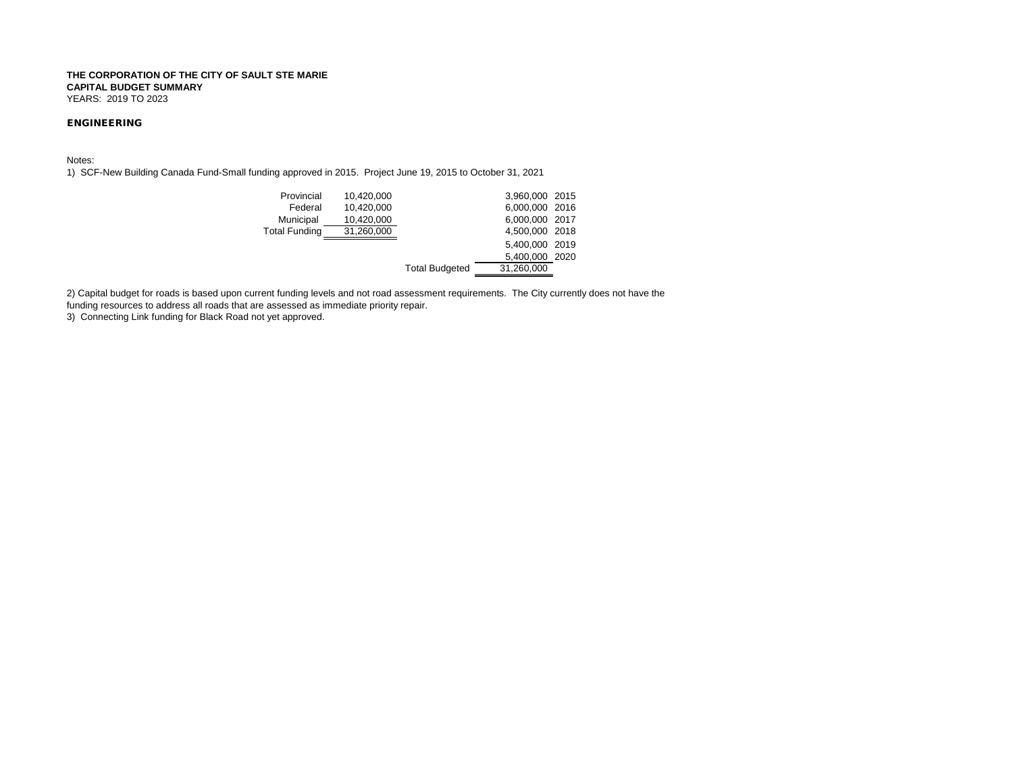### *ENGINEERING*

Notes:

1) SCF-New Building Canada Fund-Small funding approved in 2015. Project June 19, 2015 to October 31, 2021

| Provincial           | 10,420,000 |                       | 3,960,000 2015 |  |
|----------------------|------------|-----------------------|----------------|--|
| Federal              | 10,420,000 |                       | 6,000,000 2016 |  |
| Municipal            | 10,420,000 |                       | 6,000,000 2017 |  |
| <b>Total Funding</b> | 31,260,000 |                       | 4,500,000 2018 |  |
|                      |            |                       | 5,400,000 2019 |  |
|                      |            |                       | 5,400,000 2020 |  |
|                      |            | <b>Total Budgeted</b> | 31,260,000     |  |
|                      |            |                       |                |  |

2) Capital budget for roads is based upon current funding levels and not road assessment requirements. The City currently does not have the funding resources to address all roads that are assessed as immediate priority repair.

3) Connecting Link funding for Black Road not yet approved.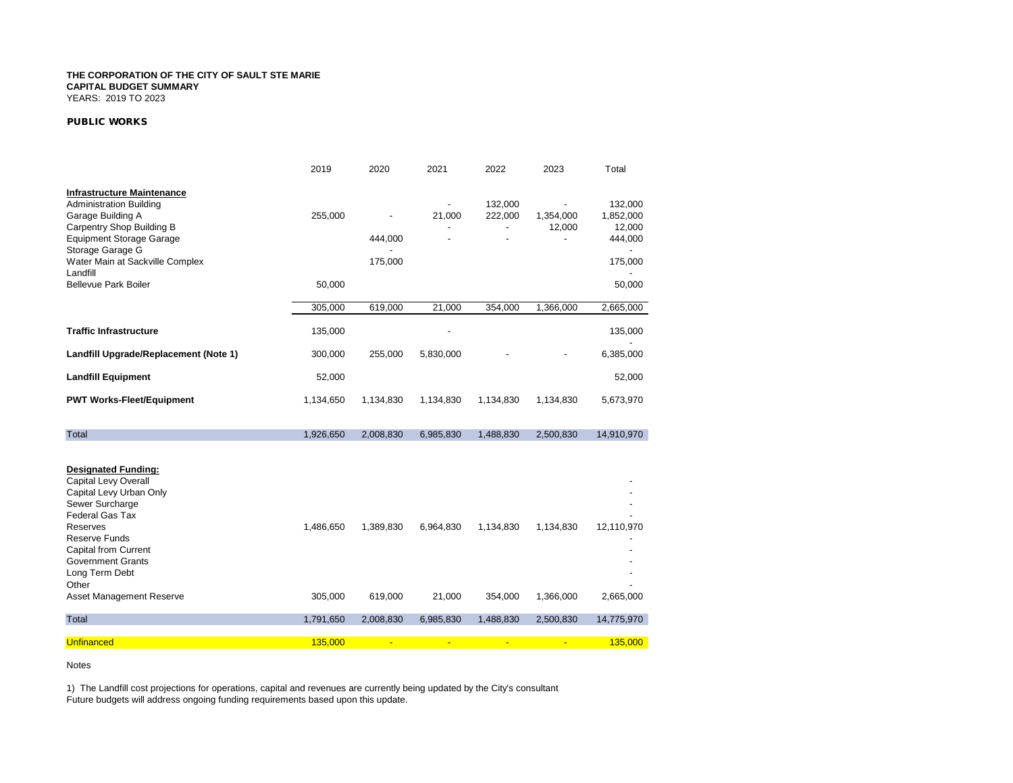### *PUBLIC WORKS*

|                                                                                                                                                                                                                                                                           | 2019                 | 2020                 | 2021                | 2022                                 | 2023                   | Total                                                |
|---------------------------------------------------------------------------------------------------------------------------------------------------------------------------------------------------------------------------------------------------------------------------|----------------------|----------------------|---------------------|--------------------------------------|------------------------|------------------------------------------------------|
| <b>Infrastructure Maintenance</b><br><b>Administration Building</b><br>Garage Building A<br>Carpentry Shop Building B<br><b>Equipment Storage Garage</b><br>Storage Garage G<br>Water Main at Sackville Complex<br>Landfill                                               | 255,000              | 444,000<br>175,000   | 21,000              | 132,000<br>222,000<br>$\overline{a}$ | 1,354,000<br>12,000    | 132,000<br>1,852,000<br>12,000<br>444,000<br>175,000 |
| <b>Bellevue Park Boiler</b>                                                                                                                                                                                                                                               | 50,000               |                      |                     |                                      |                        | 50,000                                               |
|                                                                                                                                                                                                                                                                           | 305,000              | 619,000              | 21,000              | 354,000                              | 1,366,000              | 2,665,000                                            |
| <b>Traffic Infrastructure</b>                                                                                                                                                                                                                                             | 135,000              |                      |                     |                                      |                        | 135,000                                              |
| Landfill Upgrade/Replacement (Note 1)                                                                                                                                                                                                                                     | 300,000              | 255,000              | 5,830,000           |                                      |                        | 6,385,000                                            |
| <b>Landfill Equipment</b>                                                                                                                                                                                                                                                 | 52,000               |                      |                     |                                      |                        | 52,000                                               |
| <b>PWT Works-Fleet/Equipment</b>                                                                                                                                                                                                                                          | 1,134,650            | 1,134,830            | 1,134,830           | 1,134,830                            | 1,134,830              | 5,673,970                                            |
| Total                                                                                                                                                                                                                                                                     | 1,926,650            | 2,008,830            | 6,985,830           | 1,488,830                            | 2,500,830              | 14,910,970                                           |
| <b>Designated Funding:</b><br>Capital Levy Overall<br>Capital Levy Urban Only<br>Sewer Surcharge<br><b>Federal Gas Tax</b><br>Reserves<br>Reserve Funds<br><b>Capital from Current</b><br><b>Government Grants</b><br>Long Term Debt<br>Other<br>Asset Management Reserve | 1,486,650<br>305,000 | 1,389,830<br>619,000 | 6,964,830<br>21,000 | 1,134,830<br>354,000                 | 1,134,830<br>1,366,000 | 12,110,970<br>2,665,000                              |
| Total                                                                                                                                                                                                                                                                     | 1,791,650            | 2,008,830            | 6,985,830           | 1,488,830                            | 2,500,830              | 14,775,970                                           |
| <b>Unfinanced</b>                                                                                                                                                                                                                                                         | 135.000              | $\blacksquare$       | $\blacksquare$      | $\blacksquare$                       | $\blacksquare$         | 135.000                                              |

Notes

1) The Landfill cost projections for operations, capital and revenues are currently being updated by the City's consultant Future budgets will address ongoing funding requirements based upon this update.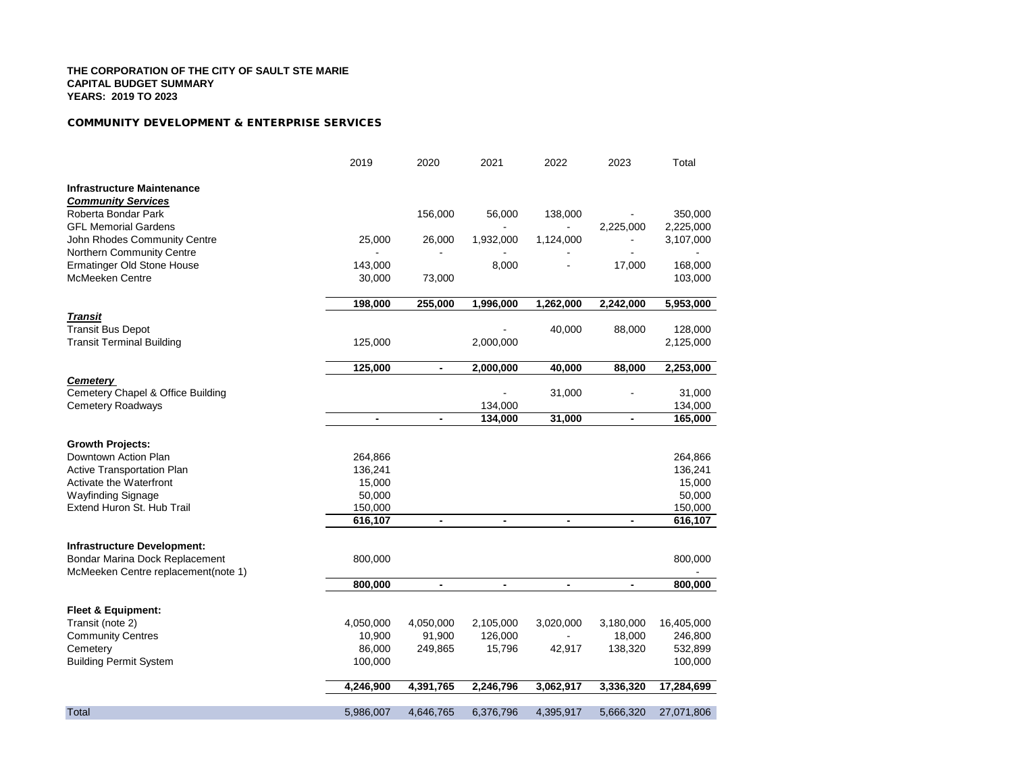### *COMMUNITY DEVELOPMENT & ENTERPRISE SERVICES*

|                                     | 2019                     | 2020                     | 2021                     | 2022           | 2023                     | Total      |
|-------------------------------------|--------------------------|--------------------------|--------------------------|----------------|--------------------------|------------|
| <b>Infrastructure Maintenance</b>   |                          |                          |                          |                |                          |            |
| <b>Community Services</b>           |                          |                          |                          |                |                          |            |
| Roberta Bondar Park                 |                          | 156,000                  | 56,000                   | 138,000        |                          | 350,000    |
| <b>GFL Memorial Gardens</b>         |                          |                          |                          |                | 2,225,000                | 2,225,000  |
| John Rhodes Community Centre        | 25,000                   | 26,000                   | 1,932,000                | 1,124,000      |                          | 3,107,000  |
| Northern Community Centre           |                          |                          |                          |                |                          |            |
| Ermatinger Old Stone House          | 143,000                  |                          | 8,000                    |                | 17,000                   | 168,000    |
| <b>McMeeken Centre</b>              | 30,000                   | 73,000                   |                          |                |                          | 103,000    |
|                                     | 198,000                  | 255,000                  | 1,996,000                | 1,262,000      | 2,242,000                | 5,953,000  |
| <b>Transit</b>                      |                          |                          |                          |                |                          |            |
| <b>Transit Bus Depot</b>            |                          |                          |                          | 40,000         | 88,000                   | 128,000    |
| <b>Transit Terminal Building</b>    | 125,000                  |                          | 2,000,000                |                |                          | 2,125,000  |
|                                     | 125,000                  | $\blacksquare$           | 2,000,000                | 40,000         | 88,000                   | 2,253,000  |
| <b>Cemetery</b>                     |                          |                          |                          |                |                          |            |
| Cemetery Chapel & Office Building   |                          |                          |                          | 31,000         |                          | 31,000     |
| <b>Cemetery Roadways</b>            |                          |                          | 134,000                  |                |                          | 134,000    |
|                                     | $\overline{\phantom{a}}$ | $\frac{1}{2}$            | 134,000                  | 31,000         | $\overline{\phantom{a}}$ | 165,000    |
| <b>Growth Projects:</b>             |                          |                          |                          |                |                          |            |
| Downtown Action Plan                | 264,866                  |                          |                          |                |                          | 264,866    |
| <b>Active Transportation Plan</b>   | 136,241                  |                          |                          |                |                          | 136,241    |
| <b>Activate the Waterfront</b>      | 15,000                   |                          |                          |                |                          | 15,000     |
| Wayfinding Signage                  | 50,000                   |                          |                          |                |                          | 50,000     |
| Extend Huron St. Hub Trail          | 150,000                  |                          |                          |                |                          | 150,000    |
|                                     | 616,107                  | $\overline{\phantom{a}}$ | $\blacksquare$           | $\blacksquare$ | $\blacksquare$           | 616,107    |
| <b>Infrastructure Development:</b>  |                          |                          |                          |                |                          |            |
| Bondar Marina Dock Replacement      | 800,000                  |                          |                          |                |                          | 800,000    |
| McMeeken Centre replacement(note 1) | 800,000                  | $\overline{\phantom{a}}$ | $\overline{\phantom{a}}$ | $\blacksquare$ | $\blacksquare$           | 800,000    |
|                                     |                          |                          |                          |                |                          |            |
| <b>Fleet &amp; Equipment:</b>       |                          |                          |                          |                |                          |            |
| Transit (note 2)                    | 4,050,000                | 4,050,000                | 2,105,000                | 3,020,000      | 3,180,000                | 16,405,000 |
| <b>Community Centres</b>            | 10,900                   | 91,900                   | 126,000                  |                | 18,000                   | 246,800    |
| Cemetery                            | 86,000                   | 249,865                  | 15,796                   | 42,917         | 138,320                  | 532,899    |
| <b>Building Permit System</b>       | 100,000                  |                          |                          |                |                          | 100,000    |
|                                     | 4,246,900                | 4,391,765                | 2,246,796                | 3,062,917      | 3,336,320                | 17,284,699 |
| Total                               | 5,986,007                | 4,646,765                | 6,376,796                | 4,395,917      | 5,666,320                | 27,071,806 |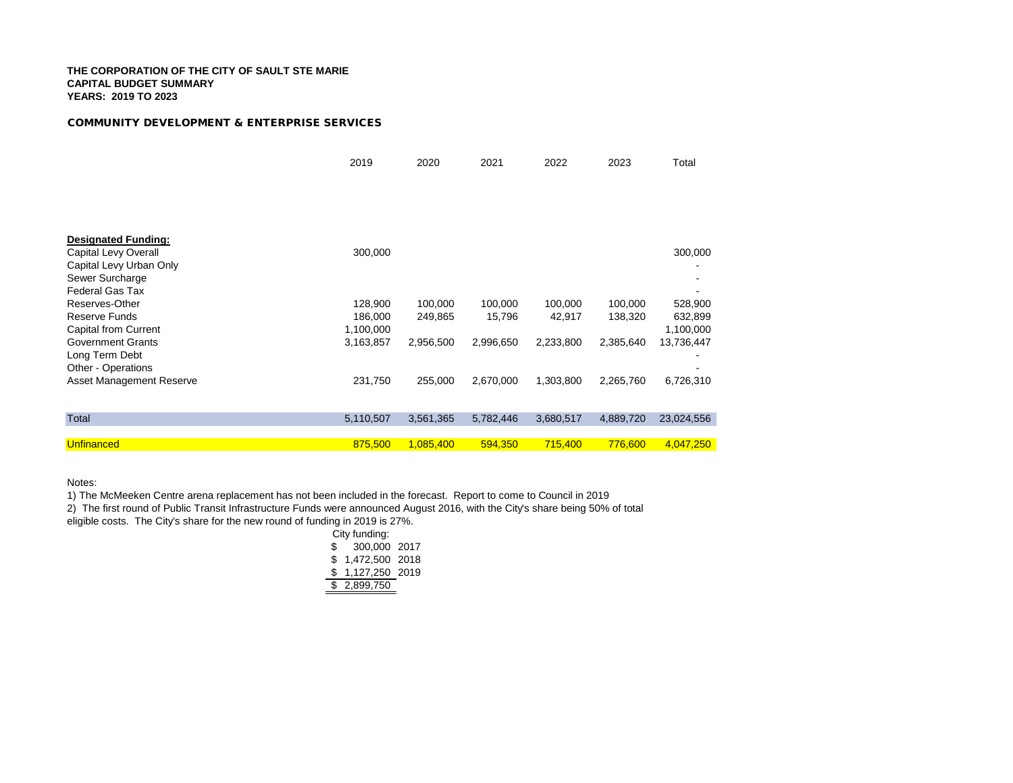### *COMMUNITY DEVELOPMENT & ENTERPRISE SERVICES*

|                            | 2019      | 2020      | 2021      | 2022      | 2023      | Total      |
|----------------------------|-----------|-----------|-----------|-----------|-----------|------------|
|                            |           |           |           |           |           |            |
|                            |           |           |           |           |           |            |
|                            |           |           |           |           |           |            |
|                            |           |           |           |           |           |            |
| <b>Designated Funding:</b> |           |           |           |           |           |            |
| Capital Levy Overall       | 300,000   |           |           |           |           | 300,000    |
| Capital Levy Urban Only    |           |           |           |           |           |            |
| Sewer Surcharge            |           |           |           |           |           |            |
| Federal Gas Tax            |           |           |           |           |           |            |
| Reserves-Other             | 128,900   | 100,000   | 100,000   | 100,000   | 100,000   | 528,900    |
| <b>Reserve Funds</b>       | 186,000   | 249,865   | 15,796    | 42,917    | 138,320   | 632,899    |
| Capital from Current       | 1,100,000 |           |           |           |           | 1,100,000  |
| <b>Government Grants</b>   | 3,163,857 | 2,956,500 | 2,996,650 | 2,233,800 | 2,385,640 | 13,736,447 |
| Long Term Debt             |           |           |           |           |           |            |
| Other - Operations         |           |           |           |           |           |            |
| Asset Management Reserve   | 231,750   | 255,000   | 2,670,000 | 1,303,800 | 2,265,760 | 6,726,310  |
|                            |           |           |           |           |           |            |
|                            |           |           |           |           |           |            |
| <b>Total</b>               | 5,110,507 | 3,561,365 | 5,782,446 | 3,680,517 | 4,889,720 | 23,024,556 |
|                            |           |           |           |           |           |            |
| Unfinanced                 | 875,500   | 1,085,400 | 594,350   | 715,400   | 776,600   | 4.047.250  |

Notes:

1) The McMeeken Centre arena replacement has not been included in the forecast. Report to come to Council in 2019

2) The first round of Public Transit Infrastructure Funds were announced August 2016, with the City's share being 50% of total

eligible costs. The City's share for the new round of funding in 2019 is 27%.

|    | City funding:  |  |
|----|----------------|--|
| \$ | 300,000 2017   |  |
| \$ | 1,472,500 2018 |  |
| S  | 1,127,250 2019 |  |
| \$ | 2,899,750      |  |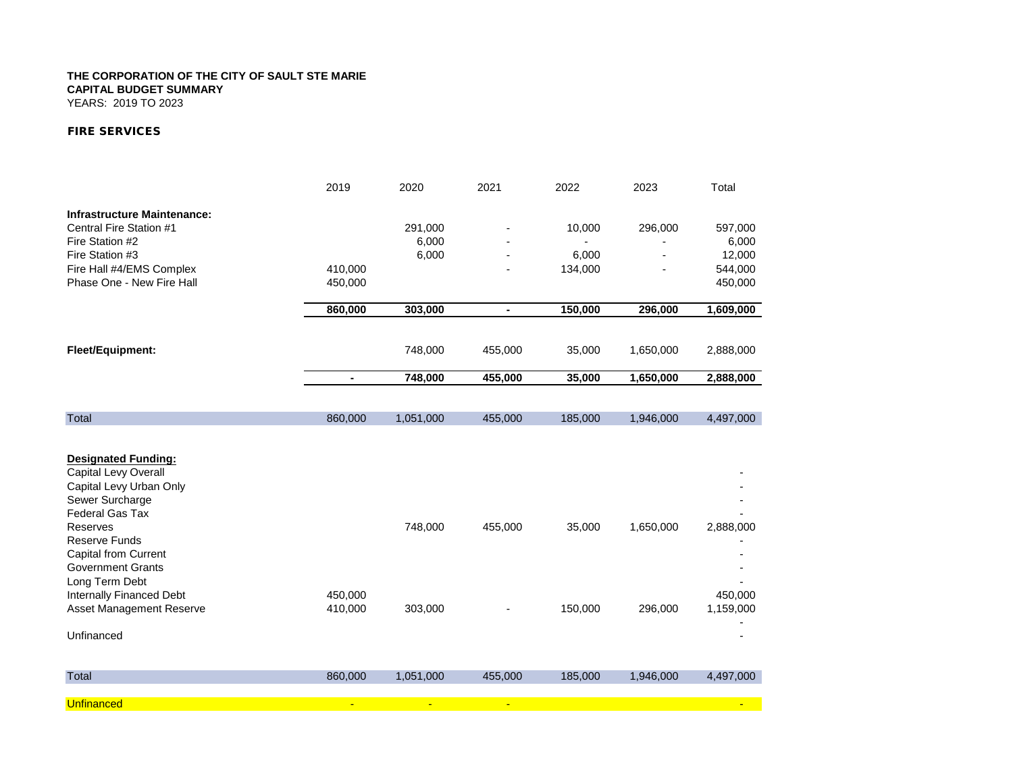YEARS: 2019 TO 2023

### *FIRE SERVICES*

|                                                                                  | 2019           | 2020           | 2021           | 2022    | 2023      | Total     |
|----------------------------------------------------------------------------------|----------------|----------------|----------------|---------|-----------|-----------|
| <b>Infrastructure Maintenance:</b>                                               |                |                |                |         |           |           |
| Central Fire Station #1                                                          |                | 291,000        |                | 10,000  | 296,000   | 597,000   |
| Fire Station #2                                                                  |                | 6,000          |                |         |           | 6,000     |
| Fire Station #3                                                                  |                | 6,000          |                | 6,000   |           | 12,000    |
| Fire Hall #4/EMS Complex                                                         | 410,000        |                |                | 134,000 |           | 544,000   |
| Phase One - New Fire Hall                                                        | 450,000        |                |                |         |           | 450,000   |
|                                                                                  | 860,000        | 303,000        | $\blacksquare$ | 150,000 | 296,000   | 1,609,000 |
|                                                                                  |                |                |                |         |           |           |
| Fleet/Equipment:                                                                 |                | 748,000        | 455,000        | 35,000  | 1,650,000 | 2,888,000 |
|                                                                                  | $\blacksquare$ | 748,000        | 455,000        | 35,000  | 1,650,000 | 2,888,000 |
|                                                                                  |                |                |                |         |           |           |
| <b>Total</b>                                                                     | 860,000        | 1,051,000      | 455,000        | 185,000 | 1,946,000 | 4,497,000 |
| <b>Designated Funding:</b><br>Capital Levy Overall                               |                |                |                |         |           |           |
| Capital Levy Urban Only<br>Sewer Surcharge<br><b>Federal Gas Tax</b><br>Reserves |                | 748,000        | 455,000        | 35,000  | 1,650,000 | 2,888,000 |
| <b>Reserve Funds</b><br><b>Capital from Current</b><br><b>Government Grants</b>  |                |                |                |         |           |           |
| Long Term Debt                                                                   |                |                |                |         |           |           |
| Internally Financed Debt                                                         | 450,000        |                |                |         |           | 450,000   |
| Asset Management Reserve                                                         | 410,000        | 303,000        |                | 150,000 | 296,000   | 1,159,000 |
| Unfinanced                                                                       |                |                |                |         |           |           |
| Total                                                                            | 860,000        | 1,051,000      | 455,000        | 185,000 | 1,946,000 | 4,497,000 |
| <b>Unfinanced</b>                                                                | $\blacksquare$ | $\blacksquare$ | $\blacksquare$ |         |           |           |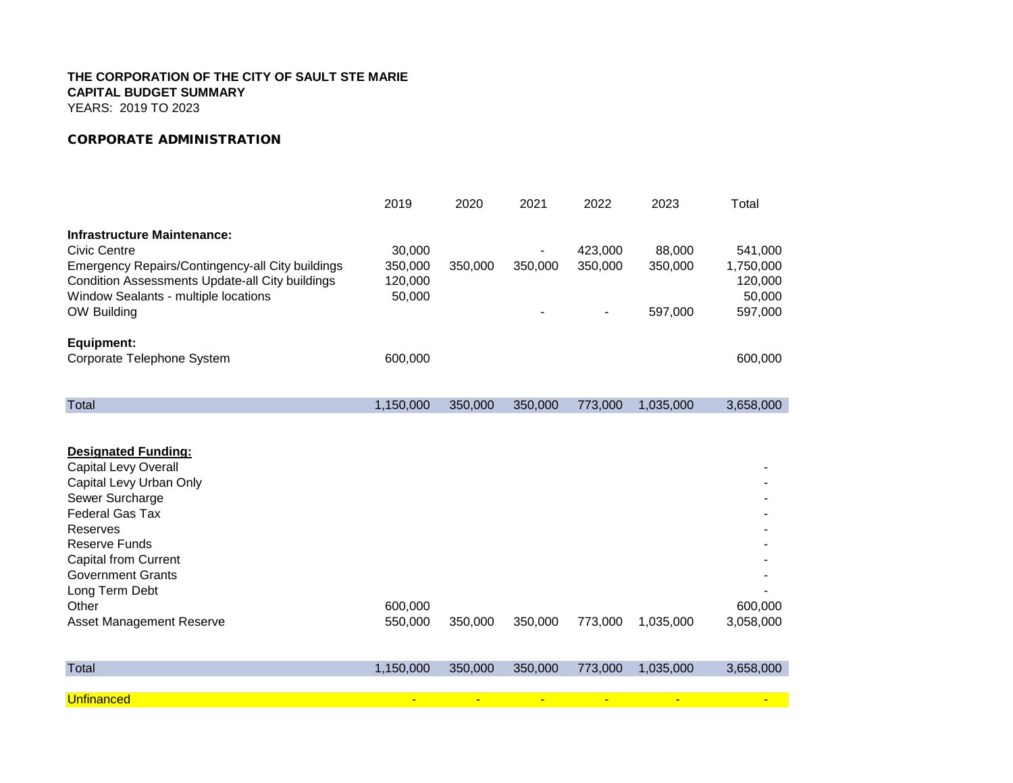YEARS: 2019 TO 2023

### *CORPORATE ADMINISTRATION*

|                                                                                                                                                                                                                                                                                         | 2019                                   | 2020    | 2021    | 2022               | 2023                         | Total                                                |
|-----------------------------------------------------------------------------------------------------------------------------------------------------------------------------------------------------------------------------------------------------------------------------------------|----------------------------------------|---------|---------|--------------------|------------------------------|------------------------------------------------------|
| <b>Infrastructure Maintenance:</b><br><b>Civic Centre</b><br>Emergency Repairs/Contingency-all City buildings<br>Condition Assessments Update-all City buildings<br>Window Sealants - multiple locations<br>OW Building                                                                 | 30,000<br>350,000<br>120,000<br>50,000 | 350,000 | 350,000 | 423,000<br>350,000 | 88,000<br>350,000<br>597,000 | 541,000<br>1,750,000<br>120,000<br>50,000<br>597,000 |
| <b>Equipment:</b><br>Corporate Telephone System                                                                                                                                                                                                                                         | 600,000                                |         |         |                    |                              | 600,000                                              |
| Total                                                                                                                                                                                                                                                                                   | 1,150,000                              | 350,000 | 350,000 | 773,000            | 1,035,000                    | 3,658,000                                            |
| <b>Designated Funding:</b><br>Capital Levy Overall<br>Capital Levy Urban Only<br>Sewer Surcharge<br><b>Federal Gas Tax</b><br>Reserves<br><b>Reserve Funds</b><br><b>Capital from Current</b><br><b>Government Grants</b><br>Long Term Debt<br>Other<br><b>Asset Management Reserve</b> | 600,000<br>550,000                     | 350,000 | 350,000 | 773,000            | 1,035,000                    | 600,000<br>3,058,000                                 |
| Total                                                                                                                                                                                                                                                                                   | 1,150,000                              | 350,000 | 350,000 | 773,000            | 1,035,000                    | 3,658,000                                            |
| <b>Unfinanced</b>                                                                                                                                                                                                                                                                       |                                        |         |         |                    |                              |                                                      |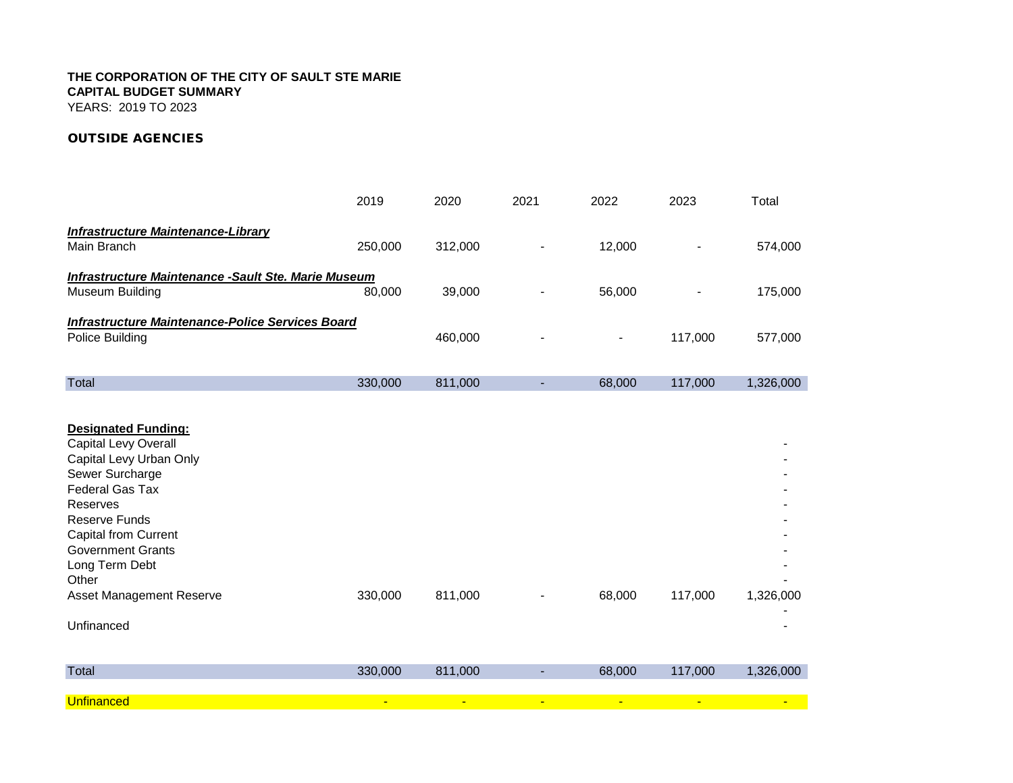YEARS: 2019 TO 2023

## *OUTSIDE AGENCIES*

|                                                                                                                                                                                                                                                                           | 2019           | 2020           | 2021                     | 2022                     | 2023    | Total     |
|---------------------------------------------------------------------------------------------------------------------------------------------------------------------------------------------------------------------------------------------------------------------------|----------------|----------------|--------------------------|--------------------------|---------|-----------|
| <b>Infrastructure Maintenance-Library</b><br>Main Branch                                                                                                                                                                                                                  | 250,000        | 312,000        |                          | 12,000                   |         | 574,000   |
| <b>Infrastructure Maintenance - Sault Ste. Marie Museum</b><br>Museum Building                                                                                                                                                                                            | 80,000         | 39,000         |                          | 56,000                   |         | 175,000   |
| <b>Infrastructure Maintenance-Police Services Board</b><br>Police Building                                                                                                                                                                                                |                | 460,000        |                          | $\overline{\phantom{a}}$ | 117,000 | 577,000   |
| Total                                                                                                                                                                                                                                                                     | 330,000        | 811,000        | $\overline{\phantom{a}}$ | 68,000                   | 117,000 | 1,326,000 |
| <b>Designated Funding:</b><br>Capital Levy Overall<br>Capital Levy Urban Only<br>Sewer Surcharge<br>Federal Gas Tax<br>Reserves<br><b>Reserve Funds</b><br><b>Capital from Current</b><br><b>Government Grants</b><br>Long Term Debt<br>Other<br>Asset Management Reserve | 330,000        | 811,000        |                          | 68,000                   | 117,000 | 1,326,000 |
| Unfinanced                                                                                                                                                                                                                                                                |                |                |                          |                          |         |           |
| <b>Total</b>                                                                                                                                                                                                                                                              | 330,000        | 811,000        | ٠                        | 68,000                   | 117,000 | 1,326,000 |
| <b>Unfinanced</b>                                                                                                                                                                                                                                                         | $\blacksquare$ | $\blacksquare$ |                          |                          |         |           |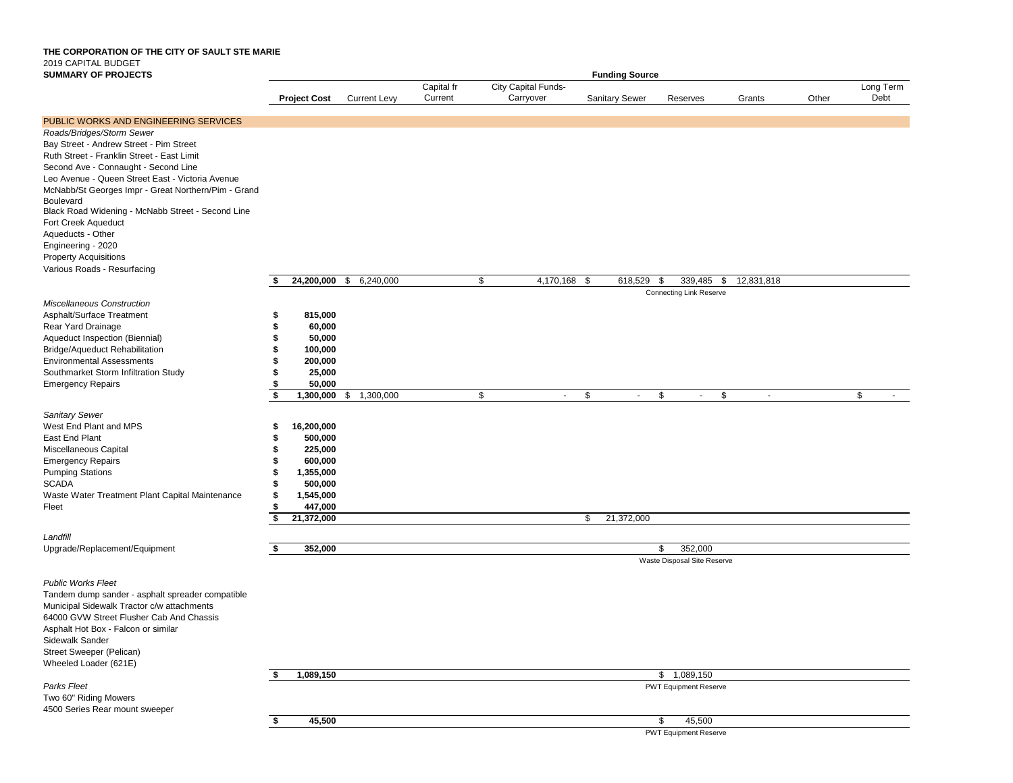### **THE CORPORATION OF THE CITY OF SAULT STE MARIE** 2019 CAPITAL BUDGET **SUMMARY OF PROJECTS**

| <b>SUMMARY OF PROJECTS</b>                                       | <b>Funding Source</b>  |                  |                     |            |                     |                       |                                |              |       |           |
|------------------------------------------------------------------|------------------------|------------------|---------------------|------------|---------------------|-----------------------|--------------------------------|--------------|-------|-----------|
|                                                                  |                        |                  |                     | Capital fr | City Capital Funds- |                       |                                |              |       | Long Term |
|                                                                  | <b>Project Cost</b>    |                  | <b>Current Levy</b> | Current    | Carryover           | <b>Sanitary Sewer</b> | Reserves                       | Grants       | Other | Debt      |
| PUBLIC WORKS AND ENGINEERING SERVICES                            |                        |                  |                     |            |                     |                       |                                |              |       |           |
| Roads/Bridges/Storm Sewer                                        |                        |                  |                     |            |                     |                       |                                |              |       |           |
| Bay Street - Andrew Street - Pim Street                          |                        |                  |                     |            |                     |                       |                                |              |       |           |
| Ruth Street - Franklin Street - East Limit                       |                        |                  |                     |            |                     |                       |                                |              |       |           |
| Second Ave - Connaught - Second Line                             |                        |                  |                     |            |                     |                       |                                |              |       |           |
| Leo Avenue - Queen Street East - Victoria Avenue                 |                        |                  |                     |            |                     |                       |                                |              |       |           |
| McNabb/St Georges Impr - Great Northern/Pim - Grand              |                        |                  |                     |            |                     |                       |                                |              |       |           |
| <b>Boulevard</b>                                                 |                        |                  |                     |            |                     |                       |                                |              |       |           |
| Black Road Widening - McNabb Street - Second Line                |                        |                  |                     |            |                     |                       |                                |              |       |           |
| Fort Creek Aqueduct                                              |                        |                  |                     |            |                     |                       |                                |              |       |           |
| Aqueducts - Other                                                |                        |                  |                     |            |                     |                       |                                |              |       |           |
| Engineering - 2020                                               |                        |                  |                     |            |                     |                       |                                |              |       |           |
| <b>Property Acquisitions</b>                                     |                        |                  |                     |            |                     |                       |                                |              |       |           |
| Various Roads - Resurfacing                                      |                        |                  |                     |            |                     |                       |                                |              |       |           |
|                                                                  |                        | 24,200,000 \$    | 6,240,000           |            | 4,170,168 \$<br>\$  | 618,529               | \$<br>339,485 \$               | 12,831,818   |       |           |
|                                                                  |                        |                  |                     |            |                     |                       | <b>Connecting Link Reserve</b> |              |       |           |
| Miscellaneous Construction                                       |                        |                  |                     |            |                     |                       |                                |              |       |           |
| Asphalt/Surface Treatment                                        | \$                     | 815,000          |                     |            |                     |                       |                                |              |       |           |
| Rear Yard Drainage                                               | \$                     | 60,000           |                     |            |                     |                       |                                |              |       |           |
| Aqueduct Inspection (Biennial)                                   | \$                     | 50,000           |                     |            |                     |                       |                                |              |       |           |
| Bridge/Aqueduct Rehabilitation                                   | \$                     | 100,000          |                     |            |                     |                       |                                |              |       |           |
| <b>Environmental Assessments</b>                                 | \$<br>\$               | 200,000          |                     |            |                     |                       |                                |              |       |           |
| Southmarket Storm Infiltration Study<br><b>Emergency Repairs</b> | \$                     | 25,000<br>50,000 |                     |            |                     |                       |                                |              |       |           |
|                                                                  | \$                     | 1,300,000        | 1,300,000<br>\$     |            | \$<br>ä,            | \$<br>$\sim$          | \$<br>$\sim$                   | \$<br>$\sim$ |       | \$        |
|                                                                  |                        |                  |                     |            |                     |                       |                                |              |       |           |
| Sanitary Sewer                                                   |                        |                  |                     |            |                     |                       |                                |              |       |           |
| West End Plant and MPS<br>East End Plant                         | 16,200,000<br>\$<br>\$ | 500,000          |                     |            |                     |                       |                                |              |       |           |
| Miscellaneous Capital                                            | \$                     | 225,000          |                     |            |                     |                       |                                |              |       |           |
| <b>Emergency Repairs</b>                                         | \$                     | 600,000          |                     |            |                     |                       |                                |              |       |           |
| <b>Pumping Stations</b>                                          | \$<br>1,355,000        |                  |                     |            |                     |                       |                                |              |       |           |
| <b>SCADA</b>                                                     | \$                     | 500,000          |                     |            |                     |                       |                                |              |       |           |
| Waste Water Treatment Plant Capital Maintenance                  | \$<br>1,545,000        |                  |                     |            |                     |                       |                                |              |       |           |
| Fleet                                                            | \$                     | 447,000          |                     |            |                     |                       |                                |              |       |           |
|                                                                  | \$<br>21,372,000       |                  |                     |            |                     | 21,372,000<br>\$      |                                |              |       |           |
|                                                                  |                        |                  |                     |            |                     |                       |                                |              |       |           |
| Landfill<br>Upgrade/Replacement/Equipment                        | \$                     | 352,000          |                     |            |                     |                       | 352,000<br>\$                  |              |       |           |
|                                                                  |                        |                  |                     |            |                     |                       | Waste Disposal Site Reserve    |              |       |           |
|                                                                  |                        |                  |                     |            |                     |                       |                                |              |       |           |
| <b>Public Works Fleet</b>                                        |                        |                  |                     |            |                     |                       |                                |              |       |           |
| Tandem dump sander - asphalt spreader compatible                 |                        |                  |                     |            |                     |                       |                                |              |       |           |
| Municipal Sidewalk Tractor c/w attachments                       |                        |                  |                     |            |                     |                       |                                |              |       |           |
| 64000 GVW Street Flusher Cab And Chassis                         |                        |                  |                     |            |                     |                       |                                |              |       |           |
| Asphalt Hot Box - Falcon or similar<br>Sidewalk Sander           |                        |                  |                     |            |                     |                       |                                |              |       |           |
|                                                                  |                        |                  |                     |            |                     |                       |                                |              |       |           |
| Street Sweeper (Pelican)<br>Wheeled Loader (621E)                |                        |                  |                     |            |                     |                       |                                |              |       |           |
|                                                                  | 1,089,150              |                  |                     |            |                     |                       | 1,089,150<br>$^{\circ}$        |              |       |           |
| Parks Fleet                                                      |                        |                  |                     |            |                     |                       | <b>PWT Equipment Reserve</b>   |              |       |           |
| Two 60" Riding Mowers                                            |                        |                  |                     |            |                     |                       |                                |              |       |           |
| 4500 Series Rear mount sweeper                                   |                        |                  |                     |            |                     |                       |                                |              |       |           |
|                                                                  | \$                     | 45,500           |                     |            |                     |                       | \$<br>45,500                   |              |       |           |

PWT Equipment Reserve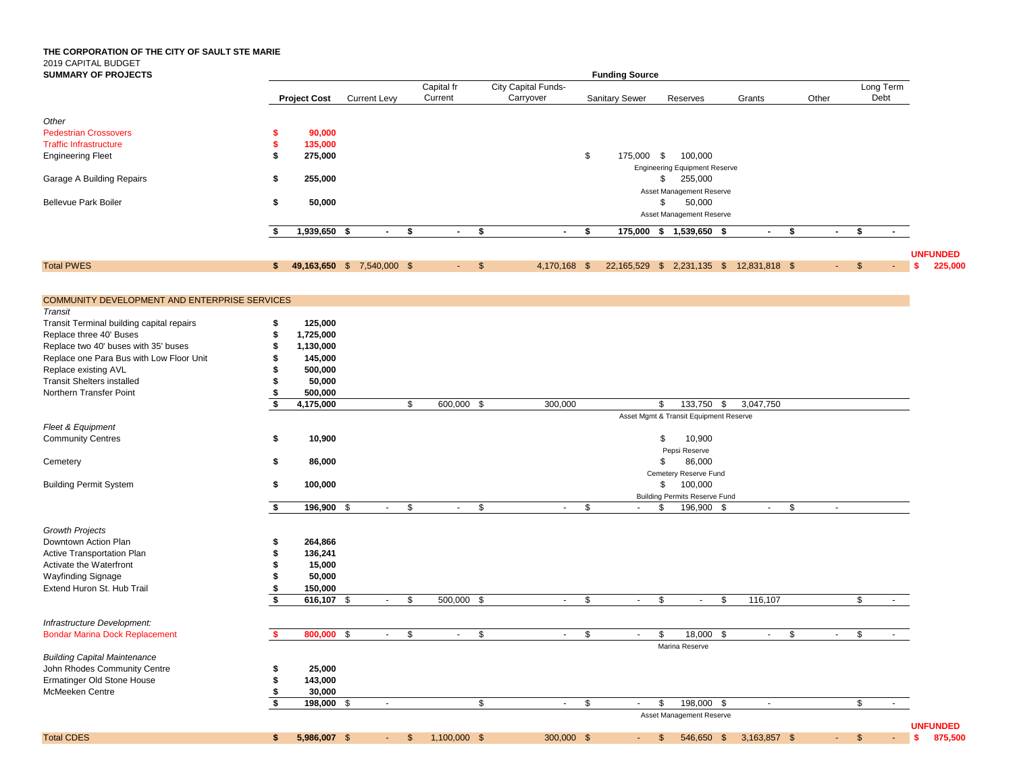| <b>SUMMARY OF PROJECTS</b>                    | <b>Funding Source</b> |                            |                     |        |    |                       |                |                                  |                         |                       |                                                          |               |    |                     |                        |                                  |
|-----------------------------------------------|-----------------------|----------------------------|---------------------|--------|----|-----------------------|----------------|----------------------------------|-------------------------|-----------------------|----------------------------------------------------------|---------------|----|---------------------|------------------------|----------------------------------|
|                                               |                       | <b>Project Cost</b>        | <b>Current Levy</b> |        |    | Capital fr<br>Current |                | City Capital Funds-<br>Carryover |                         | <b>Sanitary Sewer</b> | Reserves                                                 | Grants        |    | Other               | Long Term<br>Debt      |                                  |
| Other                                         |                       |                            |                     |        |    |                       |                |                                  |                         |                       |                                                          |               |    |                     |                        |                                  |
| <b>Pedestrian Crossovers</b>                  | s                     | 90,000                     |                     |        |    |                       |                |                                  |                         |                       |                                                          |               |    |                     |                        |                                  |
| <b>Traffic Infrastructure</b>                 | \$                    | 135,000                    |                     |        |    |                       |                |                                  |                         |                       |                                                          |               |    |                     |                        |                                  |
|                                               |                       |                            |                     |        |    |                       |                |                                  |                         |                       |                                                          |               |    |                     |                        |                                  |
| <b>Engineering Fleet</b>                      | \$                    | 275,000                    |                     |        |    |                       |                |                                  | \$                      | 175,000 \$            | 100,000<br><b>Engineering Equipment Reserve</b>          |               |    |                     |                        |                                  |
| Garage A Building Repairs                     | S.                    | 255,000                    |                     |        |    |                       |                |                                  |                         |                       | \$<br>255,000                                            |               |    |                     |                        |                                  |
| <b>Bellevue Park Boiler</b>                   | \$                    | 50,000                     |                     |        |    |                       |                |                                  |                         |                       | Asset Management Reserve<br>50,000<br>\$                 |               |    |                     |                        |                                  |
|                                               |                       |                            |                     |        |    |                       |                |                                  |                         |                       | Asset Management Reserve                                 |               |    |                     |                        |                                  |
|                                               |                       | 1,939,650 \$               |                     | $\sim$ | \$ | $\sim$                | \$             | $\sim$                           | \$                      |                       | 175,000 \$ 1,539,650 \$                                  | $\sim$        | \$ | $\blacksquare$      | \$<br>$\sim$           |                                  |
| <b>Total PWES</b>                             | s.                    | 49,163,650 \$ 7,540,000 \$ |                     |        |    | $\sim$                | $\mathfrak{S}$ | 4,170,168 \$                     |                         |                       | 22,165,529 \$ 2,231,135 \$                               | 12,831,818 \$ |    | $\sim$              | \$                     | <b>UNFUNDED</b><br>225,000<br>-S |
|                                               |                       |                            |                     |        |    |                       |                |                                  |                         |                       |                                                          |               |    |                     |                        |                                  |
| COMMUNITY DEVELOPMENT AND ENTERPRISE SERVICES |                       |                            |                     |        |    |                       |                |                                  |                         |                       |                                                          |               |    |                     |                        |                                  |
| Transit                                       |                       |                            |                     |        |    |                       |                |                                  |                         |                       |                                                          |               |    |                     |                        |                                  |
| Transit Terminal building capital repairs     | \$                    | 125,000                    |                     |        |    |                       |                |                                  |                         |                       |                                                          |               |    |                     |                        |                                  |
| Replace three 40' Buses                       |                       | 1,725,000                  |                     |        |    |                       |                |                                  |                         |                       |                                                          |               |    |                     |                        |                                  |
| Replace two 40' buses with 35' buses          |                       | 1,130,000                  |                     |        |    |                       |                |                                  |                         |                       |                                                          |               |    |                     |                        |                                  |
| Replace one Para Bus with Low Floor Unit      |                       | 145,000                    |                     |        |    |                       |                |                                  |                         |                       |                                                          |               |    |                     |                        |                                  |
| Replace existing AVL                          |                       | 500,000                    |                     |        |    |                       |                |                                  |                         |                       |                                                          |               |    |                     |                        |                                  |
| <b>Transit Shelters installed</b>             |                       | 50,000                     |                     |        |    |                       |                |                                  |                         |                       |                                                          |               |    |                     |                        |                                  |
| Northern Transfer Point                       |                       | 500,000                    |                     |        |    |                       |                |                                  |                         |                       |                                                          |               |    |                     |                        |                                  |
|                                               | \$                    | 4,175,000                  |                     |        | \$ | 600,000 \$            |                | 300,000                          |                         |                       | 133,750 \$<br>\$                                         | 3,047,750     |    |                     |                        |                                  |
| Fleet & Equipment                             |                       |                            |                     |        |    |                       |                |                                  |                         |                       | Asset Mgmt & Transit Equipment Reserve                   |               |    |                     |                        |                                  |
| <b>Community Centres</b>                      | \$                    | 10,900                     |                     |        |    |                       |                |                                  |                         |                       | \$<br>10,900                                             |               |    |                     |                        |                                  |
|                                               |                       |                            |                     |        |    |                       |                |                                  |                         |                       | Pepsi Reserve                                            |               |    |                     |                        |                                  |
| Cemetery                                      | \$                    | 86,000                     |                     |        |    |                       |                |                                  |                         |                       | 86,000<br>\$                                             |               |    |                     |                        |                                  |
|                                               |                       |                            |                     |        |    |                       |                |                                  |                         |                       |                                                          |               |    |                     |                        |                                  |
|                                               |                       |                            |                     |        |    |                       |                |                                  |                         |                       | Cemetery Reserve Fund                                    |               |    |                     |                        |                                  |
| <b>Building Permit System</b>                 | S.                    | 100,000                    |                     |        |    |                       |                |                                  |                         |                       | 100,000<br>\$                                            |               |    |                     |                        |                                  |
|                                               | \$                    | 196,900 \$                 |                     | $\sim$ | \$ | $\sim$                | \$             | $\sim$                           | \$                      |                       | <b>Building Permits Reserve Fund</b><br>196,900 \$<br>\$ | $\sim$        | \$ | $\sim$              |                        |                                  |
| <b>Growth Projects</b>                        |                       |                            |                     |        |    |                       |                |                                  |                         |                       |                                                          |               |    |                     |                        |                                  |
|                                               |                       |                            |                     |        |    |                       |                |                                  |                         |                       |                                                          |               |    |                     |                        |                                  |
| Downtown Action Plan                          |                       | 264,866                    |                     |        |    |                       |                |                                  |                         |                       |                                                          |               |    |                     |                        |                                  |
| Active Transportation Plan                    |                       | 136,241                    |                     |        |    |                       |                |                                  |                         |                       |                                                          |               |    |                     |                        |                                  |
| Activate the Waterfront                       |                       | 15,000                     |                     |        |    |                       |                |                                  |                         |                       |                                                          |               |    |                     |                        |                                  |
| <b>Wayfinding Signage</b>                     |                       | 50,000                     |                     |        |    |                       |                |                                  |                         |                       |                                                          |               |    |                     |                        |                                  |
| Extend Huron St. Hub Trail                    |                       | 150,000                    |                     |        |    |                       |                |                                  |                         |                       |                                                          |               |    |                     |                        |                                  |
|                                               |                       | 616,107                    | - \$                | $\sim$ | \$ | $500,000$ \$          |                | $\sim$                           | \$                      | $\sim$                | \$<br>\$<br>$\sim$                                       | 116,107       |    |                     | \$<br>$\sim$           |                                  |
| Infrastructure Development:                   |                       |                            |                     |        |    |                       |                |                                  |                         |                       |                                                          |               |    |                     |                        |                                  |
| <b>Bondar Marina Dock Replacement</b>         |                       | 800,000 \$                 |                     | $\sim$ | \$ | $\sim$                | \$             | $\sim$                           | \$                      | $\sim$                | 18,000 \$<br>\$                                          | $\sim$        | \$ | $\sim$              | \$<br>$\sim$           |                                  |
| <b>Building Capital Maintenance</b>           |                       |                            |                     |        |    |                       |                |                                  |                         |                       | Marina Reserve                                           |               |    |                     |                        |                                  |
| John Rhodes Community Centre                  | \$                    |                            |                     |        |    |                       |                |                                  |                         |                       |                                                          |               |    |                     |                        |                                  |
|                                               |                       | 25,000                     |                     |        |    |                       |                |                                  |                         |                       |                                                          |               |    |                     |                        |                                  |
| Ermatinger Old Stone House                    |                       | 143,000                    |                     |        |    |                       |                |                                  |                         |                       |                                                          |               |    |                     |                        |                                  |
| McMeeken Centre                               | \$                    | 30,000                     |                     |        |    |                       |                |                                  |                         |                       |                                                          |               |    |                     |                        |                                  |
|                                               | \$                    | 198,000 \$                 |                     | $\sim$ |    |                       | \$             | $\sim$                           | $\sqrt[6]{\frac{1}{2}}$ | $\sim$                | 198,000 \$<br>\$<br>Asset Management Reserve             | $\sim$        |    |                     | \$<br>$\sim$           |                                  |
|                                               |                       |                            |                     |        |    |                       |                |                                  |                         |                       |                                                          |               |    |                     |                        | <b>UNFUNDED</b>                  |
| <b>Total CDES</b>                             | $\mathsf{s}$          | 5,986,007 \$               |                     | $-$ \$ |    | $1,100,000$ \$        |                | 300,000 \$                       |                         | $-5$                  | 546,650 \$                                               | 3,163,857 \$  |    | $\sigma_{\rm{max}}$ | <b>S</b><br>$\sim$ $-$ | \$875,500                        |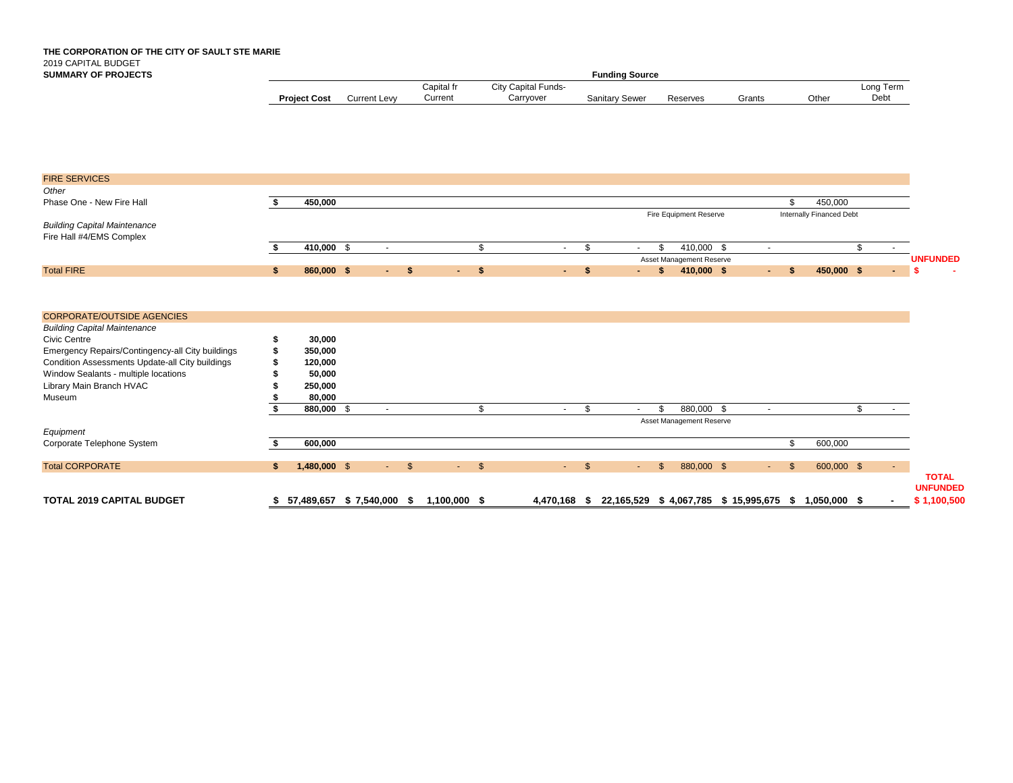### **THE CORPORATION OF THE CITY OF SAULT STE MARIE** 2019 CAPITAL BUDGET **SUMMARY OF PROJECTS**

| Fundina Source      |                     |            |                            |                       |          |        |       |              |  |  |  |  |  |
|---------------------|---------------------|------------|----------------------------|-----------------------|----------|--------|-------|--------------|--|--|--|--|--|
|                     |                     | Capital fr | <b>City Capital Funds-</b> |                       |          |        |       | Long<br>Γerm |  |  |  |  |  |
| <b>Project Cost</b> | <b>Current Levv</b> | Current    | Carryover                  | <b>Sanitary Sewer</b> | Reserves | Grants | Other | Debt         |  |  |  |  |  |

**UNFUNDED**

| <b>FIRE SERVICES</b>                             |    |                |            |               |            |      |                              |                |                      |                          |        |              |     |                          |                       |                 |
|--------------------------------------------------|----|----------------|------------|---------------|------------|------|------------------------------|----------------|----------------------|--------------------------|--------|--------------|-----|--------------------------|-----------------------|-----------------|
| Other                                            |    |                |            |               |            |      |                              |                |                      |                          |        |              |     |                          |                       |                 |
| Phase One - New Fire Hall                        |    | 450,000        |            |               |            |      |                              |                |                      |                          |        |              | \$. | 450,000                  |                       |                 |
|                                                  |    |                |            |               |            |      |                              |                |                      | Fire Equipment Reserve   |        |              |     | Internally Financed Debt |                       |                 |
| <b>Building Capital Maintenance</b>              |    |                |            |               |            |      |                              |                |                      |                          |        |              |     |                          |                       |                 |
| Fire Hall #4/EMS Complex                         |    |                |            |               |            |      |                              |                |                      |                          |        |              |     |                          |                       |                 |
|                                                  |    | 410,000 \$     | $\sim$     |               |            | \$   | $\sim$                       | \$             | \$<br>$\sim$         | 410,000 \$               | $\sim$ |              |     |                          | \$<br>$\sim$ 10 $\pm$ |                 |
|                                                  |    |                |            |               |            |      |                              |                |                      | Asset Management Reserve |        |              |     |                          |                       | <b>UNFUNDED</b> |
| <b>Total FIRE</b>                                | \$ | 860,000 \$     | $-5$       |               |            | $-5$ | $\mathcal{L}(\mathcal{A})$ . | -\$            | $\sim$ 10 $\pm$      | \$<br>410,000 \$         | $\sim$ | \$           |     | 450,000 \$               | $\sim$                | -9              |
|                                                  |    |                |            |               |            |      |                              |                |                      |                          |        |              |     |                          |                       |                 |
|                                                  |    |                |            |               |            |      |                              |                |                      |                          |        |              |     |                          |                       |                 |
|                                                  |    |                |            |               |            |      |                              |                |                      |                          |        |              |     |                          |                       |                 |
| <b>CORPORATE/OUTSIDE AGENCIES</b>                |    |                |            |               |            |      |                              |                |                      |                          |        |              |     |                          |                       |                 |
| <b>Building Capital Maintenance</b>              |    |                |            |               |            |      |                              |                |                      |                          |        |              |     |                          |                       |                 |
| Civic Centre                                     |    | 30,000         |            |               |            |      |                              |                |                      |                          |        |              |     |                          |                       |                 |
| Emergency Repairs/Contingency-all City buildings |    | 350,000        |            |               |            |      |                              |                |                      |                          |        |              |     |                          |                       |                 |
| Condition Assessments Update-all City buildings  |    | 120,000        |            |               |            |      |                              |                |                      |                          |        |              |     |                          |                       |                 |
| Window Sealants - multiple locations             |    | 50,000         |            |               |            |      |                              |                |                      |                          |        |              |     |                          |                       |                 |
| Library Main Branch HVAC                         |    | 250,000        |            |               |            |      |                              |                |                      |                          |        |              |     |                          |                       |                 |
| Museum                                           |    | 80,000         |            |               |            |      |                              |                |                      |                          |        |              |     |                          |                       |                 |
|                                                  |    | 880,000 \$     | $\sim$     |               |            | \$   | $\sim$                       | \$             | \$<br>$\overline{a}$ | 880,000 \$               | $\sim$ |              |     |                          | \$<br>$\sim 100$      |                 |
|                                                  |    |                |            |               |            |      |                              |                |                      |                          |        |              |     |                          |                       |                 |
|                                                  |    |                |            |               |            |      |                              |                |                      | Asset Management Reserve |        |              |     |                          |                       |                 |
| Equipment                                        |    |                |            |               |            |      |                              |                |                      |                          |        |              |     |                          |                       |                 |
| Corporate Telephone System                       |    | 600,000        |            |               |            |      |                              |                |                      |                          |        |              | \$  | 600,000                  |                       |                 |
|                                                  |    |                |            |               |            |      |                              |                |                      |                          |        |              |     |                          |                       |                 |
| <b>Total CORPORATE</b>                           | S. | $1,480,000$ \$ | $\sim 100$ | $\mathcal{S}$ | $\sim 100$ | \$   | <b>Service</b>               | $\mathfrak{S}$ | \$.<br>$\sim$        | 880,000 \$               | $\sim$ | $\mathbb{S}$ |     | 600,000 \$               |                       |                 |
|                                                  |    |                |            |               |            |      |                              |                |                      |                          |        |              |     |                          |                       | <b>TOTAL</b>    |

**TOTAL 2019 CAPITAL BUDGET \$ 57,489,657 \$ 7,540,000 \$ 1,100,000 \$ 4,470,168 \$ 22,165,529 \$ 4,067,785 \$ 15,995,675 \$ 1,050,000 \$ - \$ 1,100,500**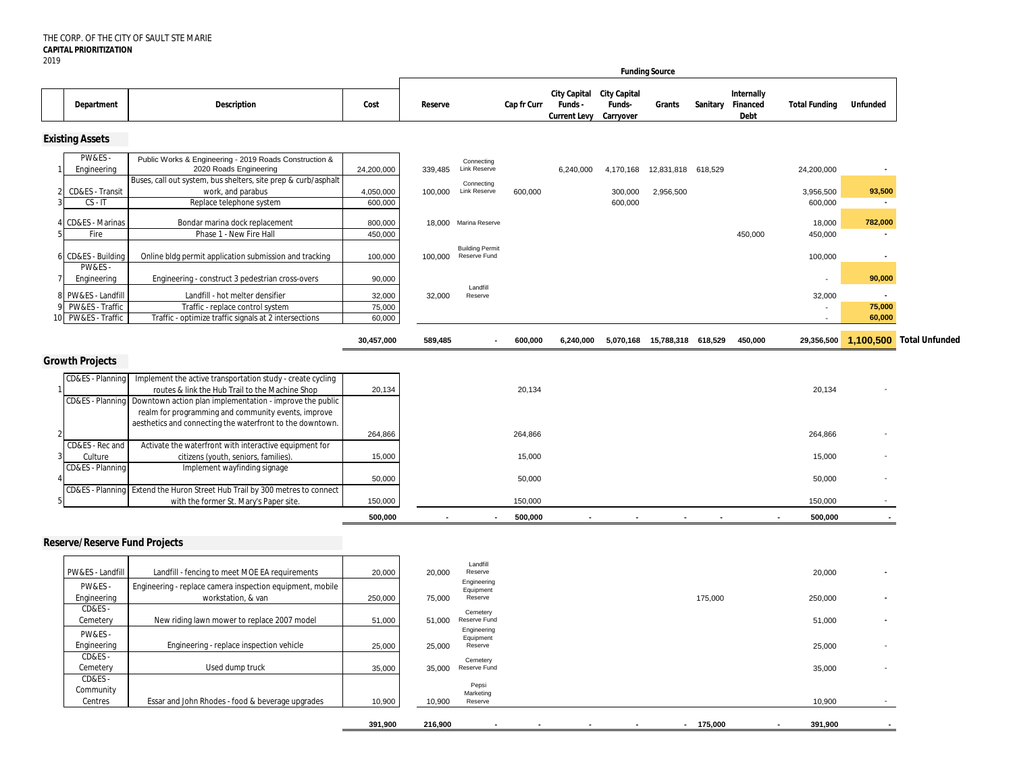|                                                        |                                                                                                                                                                           |                            |                   |                                                |             |                                                             |                     | <b>Funding Source</b>        |            |                                         |                      |                                    |                          |
|--------------------------------------------------------|---------------------------------------------------------------------------------------------------------------------------------------------------------------------------|----------------------------|-------------------|------------------------------------------------|-------------|-------------------------------------------------------------|---------------------|------------------------------|------------|-----------------------------------------|----------------------|------------------------------------|--------------------------|
| Department                                             | <b>Description</b>                                                                                                                                                        | Cost                       | Reserve           |                                                | Cap fr Curr | City Capital City Capital<br>Funds -<br><b>Current Levy</b> | Funds-<br>Carryover | Grants                       |            | Internally<br>Sanitary Financed<br>Debt | <b>Total Funding</b> | <b>Unfunded</b>                    |                          |
| <b>Existing Assets</b>                                 |                                                                                                                                                                           |                            |                   |                                                |             |                                                             |                     |                              |            |                                         |                      |                                    |                          |
| PW&ES-<br>Engineering                                  | Public Works & Engineering - 2019 Roads Construction &<br>2020 Roads Engineering                                                                                          | 24,200,000                 | 339,485           | Connecting<br>Link Reserve                     |             | 6,240,000                                                   | 4,170,168           | 12,831,818 618,529           |            |                                         | 24,200,000           | $\overline{\phantom{a}}$           |                          |
| CD&ES - Transit<br>$CS - IT$                           | Buses, call out system, bus shelters, site prep & curb/asphalt<br>work, and parabus<br>Replace telephone system                                                           | 4,050,000<br>600,000       | 100,000           | Connecting<br>Link Reserve                     | 600,000     |                                                             | 300,000<br>600,000  | 2,956,500                    |            |                                         | 3,956,500<br>600,000 | 93,500<br>$\overline{\phantom{a}}$ |                          |
| 4 CD&ES - Marinas<br>Fire                              | Bondar marina dock replacement<br>Phase 1 - New Fire Hall                                                                                                                 | 800,000<br>450,000         |                   | 18,000 Marina Reserve                          |             |                                                             |                     |                              |            | 450,000                                 | 18,000<br>450,000    | 782,000                            |                          |
| 6 CD&ES - Building                                     | Online bldg permit application submission and tracking                                                                                                                    | 100,000                    |                   | <b>Building Permit</b><br>100,000 Reserve Fund |             |                                                             |                     |                              |            |                                         | 100,000              | $\overline{\phantom{a}}$           |                          |
| PW&ES-<br>Engineering                                  | Engineering - construct 3 pedestrian cross-overs                                                                                                                          | 90,000                     |                   | Landfill                                       |             |                                                             |                     |                              |            |                                         |                      | 90,000                             |                          |
| PW&ES - Landfill<br>PW&ES - Traffic<br>PW&ES - Traffic | Landfill - hot melter densifier<br>Traffic - replace control system<br>Traffic - optimize traffic signals at 2 intersections                                              | 32,000<br>75,000<br>60,000 | 32,000            | Reserve                                        |             |                                                             |                     |                              |            |                                         | 32,000               | 75,000<br>60,000                   |                          |
|                                                        |                                                                                                                                                                           | 30,457,000                 | 589,485           | $\blacksquare$                                 | 600,000     | 6,240,000                                                   |                     | 5,070,168 15,788,318 618,529 |            | 450,000                                 | 29,356,500           |                                    | 1,100,500 Total Unfunded |
| <b>Growth Projects</b>                                 |                                                                                                                                                                           |                            |                   |                                                |             |                                                             |                     |                              |            |                                         |                      |                                    |                          |
| CD&ES - Planning<br>CD&ES - Planning                   | Implement the active transportation study - create cycling<br>routes & link the Hub Trail to the Machine Shop<br>Downtown action plan implementation - improve the public | 20,134                     |                   |                                                | 20,134      |                                                             |                     |                              |            |                                         | 20,134               |                                    |                          |
|                                                        | realm for programming and community events, improve<br>aesthetics and connecting the waterfront to the downtown                                                           | 264,866                    |                   |                                                | 264,866     |                                                             |                     |                              |            |                                         | 264,866              |                                    |                          |
| CD&ES - Rec and<br>Culture                             | Activate the waterfront with interactive equipment for<br>citizens (youth, seniors, families).                                                                            | 15,000                     |                   |                                                | 15,000      |                                                             |                     |                              |            |                                         | 15,000               |                                    |                          |
| CD&ES - Planning<br>CD&ES - Planning                   | Implement wayfinding signage<br>Extend the Huron Street Hub Trail by 300 metres to connect                                                                                | 50,000                     |                   |                                                | 50,000      |                                                             |                     |                              |            |                                         | 50,000               |                                    |                          |
|                                                        | with the former St. Mary's Paper site.                                                                                                                                    | 150,000                    |                   |                                                | 150,000     |                                                             |                     |                              |            |                                         | 150,000              |                                    |                          |
|                                                        |                                                                                                                                                                           | 500,000                    |                   |                                                | 500,000     |                                                             |                     |                              |            |                                         | 500,000              |                                    |                          |
| <b>Reserve/Reserve Fund Projects</b>                   |                                                                                                                                                                           |                            |                   |                                                |             |                                                             |                     |                              |            |                                         |                      |                                    |                          |
| PW&ES - Landfil<br>PW&ES-                              | Landfill - fencing to meet MOE EA requirements                                                                                                                            | 20,000                     | 20,000            | Landfill<br>Reserve<br>Engineering             |             |                                                             |                     |                              |            |                                         | 20,000               |                                    |                          |
| Engineering<br>CD&ES -                                 | Engineering - replace camera inspection equipment, mobile<br>workstation, & van                                                                                           | 250,000                    | 75,000            | Equipment<br>Reserve<br>Cemetery               |             |                                                             |                     |                              | 175,000    |                                         | 250,000              |                                    |                          |
| Cemetery<br>PW&ES-                                     | New riding lawn mower to replace 2007 model                                                                                                                               | 51,000                     | 51,000            | Reserve Fund<br>Engineering<br>Equipment       |             |                                                             |                     |                              |            |                                         | 51,000               |                                    |                          |
| Engineering<br>CD&ES-                                  | Engineering - replace inspection vehicle                                                                                                                                  | 25,000                     | 25,000            | Reserve<br>Cemetery                            |             |                                                             |                     |                              |            |                                         | 25,000               |                                    |                          |
| Cemetery<br>CD&ES-<br>Community                        | Used dump truck                                                                                                                                                           | 35,000                     | 35,000            | Reserve Fund<br>Pepsi<br>Marketing             |             |                                                             |                     |                              |            |                                         | 35,000               |                                    |                          |
| Centres                                                | Essar and John Rhodes - food & beverage upgrades                                                                                                                          | 10,900<br>391,900          | 10,900<br>216,900 | Reserve                                        |             |                                                             |                     |                              | $-175,000$ |                                         | 10,900<br>391,900    |                                    |                          |